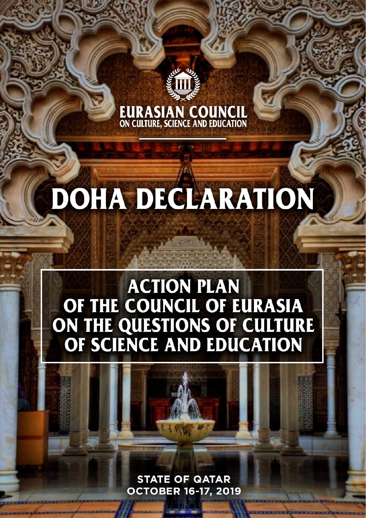# **EURASIAN COUNCIL**<br>ON CULTURE, SCIENCE AND EDUCATION

## **DOHA DECLARATION**

### **ACTION PLAN** OF THE COUNCIL OF EURASIA ON THE QUESTIONS OF CULTURE<br>OF SCIENCE AND EDUCATION

**STATE OF GATAR OCTOBER 16-17, 2019**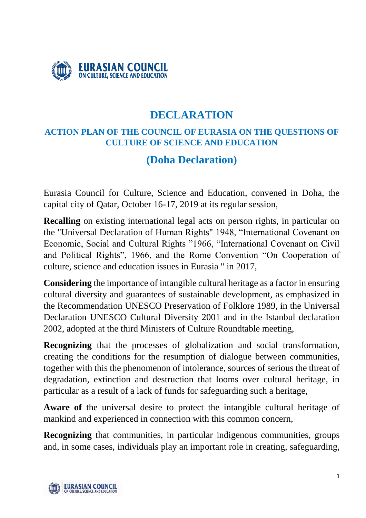

#### **DECLARATION**

#### **ACTION PLAN OF THE COUNCIL OF EURASIA ON THE QUESTIONS OF CULTURE OF SCIENCE AND EDUCATION**

#### **(Doha Declaration)**

Eurasia Council for Culture, Science and Education, convened in Doha, the capital city of Qatar, October 16-17, 2019 at its regular session,

**Recalling** on existing international legal acts on person rights, in particular on the "Universal Declaration of Human Rights" 1948, "International Covenant on Economic, Social and Cultural Rights "1966, "International Covenant on Civil and Political Rights", 1966, and the Rome Convention "On Cooperation of culture, science and education issues in Eurasia " in 2017,

**Considering** the importance of intangible cultural heritage as a factor in ensuring cultural diversity and guarantees of sustainable development, as emphasized in the Recommendation UNESCO Preservation of Folklore 1989, in the Universal Declaration UNESCO Cultural Diversity 2001 and in the Istanbul declaration 2002, adopted at the third Ministers of Culture Roundtable meeting,

**Recognizing** that the processes of globalization and social transformation, creating the conditions for the resumption of dialogue between communities, together with this the phenomenon of intolerance, sources of serious the threat of degradation, extinction and destruction that looms over cultural heritage, in particular as a result of a lack of funds for safeguarding such a heritage,

**Aware of** the universal desire to protect the intangible cultural heritage of mankind and experienced in connection with this common concern,

**Recognizing** that communities, in particular indigenous communities, groups and, in some cases, individuals play an important role in creating, safeguarding,

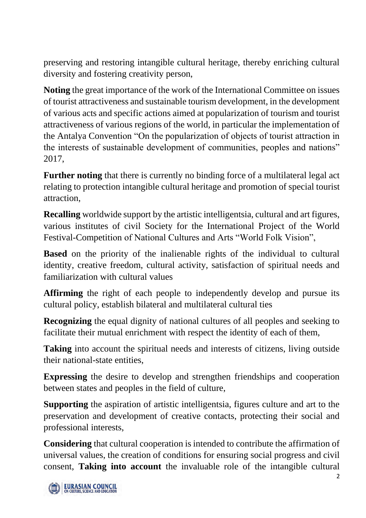preserving and restoring intangible cultural heritage, thereby enriching cultural diversity and fostering creativity person,

**Noting** the great importance of the work of the International Committee on issues of tourist attractiveness and sustainable tourism development, in the development of various acts and specific actions aimed at popularization of tourism and tourist attractiveness of various regions of the world, in particular the implementation of the Antalya Convention "On the popularization of objects of tourist attraction in the interests of sustainable development of communities, peoples and nations" 2017,

**Further noting** that there is currently no binding force of a multilateral legal act relating to protection intangible cultural heritage and promotion of special tourist attraction,

**Recalling** worldwide support by the artistic intelligentsia, cultural and art figures, various institutes of civil Society for the International Project of the World Festival-Competition of National Cultures and Arts "World Folk Vision",

**Based** on the priority of the inalienable rights of the individual to cultural identity, creative freedom, cultural activity, satisfaction of spiritual needs and familiarization with cultural values

**Affirming** the right of each people to independently develop and pursue its cultural policy, establish bilateral and multilateral cultural ties

**Recognizing** the equal dignity of national cultures of all peoples and seeking to facilitate their mutual enrichment with respect the identity of each of them,

**Taking** into account the spiritual needs and interests of citizens, living outside their national-state entities,

**Expressing** the desire to develop and strengthen friendships and cooperation between states and peoples in the field of culture,

**Supporting** the aspiration of artistic intelligentsia, figures culture and art to the preservation and development of creative contacts, protecting their social and professional interests,

**Considering** that cultural cooperation is intended to contribute the affirmation of universal values, the creation of conditions for ensuring social progress and civil consent, **Taking into account** the invaluable role of the intangible cultural

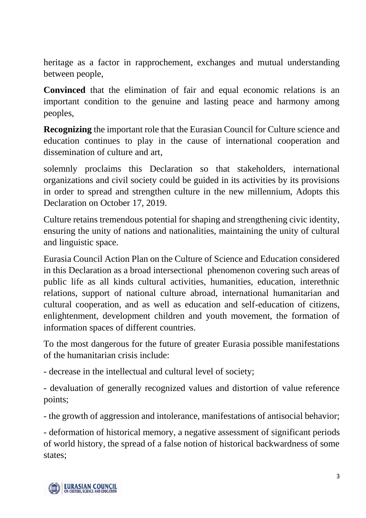heritage as a factor in rapprochement, exchanges and mutual understanding between people,

**Convinced** that the elimination of fair and equal economic relations is an important condition to the genuine and lasting peace and harmony among peoples,

**Recognizing** the important role that the Eurasian Council for Culture science and education continues to play in the cause of international cooperation and dissemination of culture and art,

solemnly proclaims this Declaration so that stakeholders, international organizations and civil society could be guided in its activities by its provisions in order to spread and strengthen culture in the new millennium, Adopts this Declaration on October 17, 2019.

Culture retains tremendous potential for shaping and strengthening civic identity, ensuring the unity of nations and nationalities, maintaining the unity of cultural and linguistic space.

Eurasia Council Action Plan on the Culture of Science and Education considered in this Declaration as a broad intersectional phenomenon covering such areas of public life as all kinds cultural activities, humanities, education, interethnic relations, support of national culture abroad, international humanitarian and cultural cooperation, and as well as education and self-education of citizens, enlightenment, development children and youth movement, the formation of information spaces of different countries.

To the most dangerous for the future of greater Eurasia possible manifestations of the humanitarian crisis include:

- decrease in the intellectual and cultural level of society;

- devaluation of generally recognized values and distortion of value reference points;

- the growth of aggression and intolerance, manifestations of antisocial behavior;

- deformation of historical memory, a negative assessment of significant periods of world history, the spread of a false notion of historical backwardness of some states;

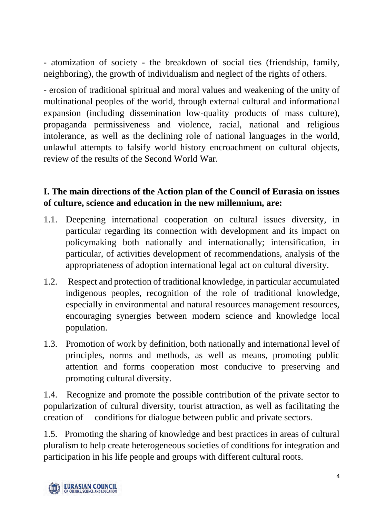- atomization of society - the breakdown of social ties (friendship, family, neighboring), the growth of individualism and neglect of the rights of others.

- erosion of traditional spiritual and moral values and weakening of the unity of multinational peoples of the world, through external cultural and informational expansion (including dissemination low-quality products of mass culture), propaganda permissiveness and violence, racial, national and religious intolerance, as well as the declining role of national languages in the world, unlawful attempts to falsify world history encroachment on cultural objects, review of the results of the Second World War.

#### **I. The main directions of the Action plan of the Council of Eurasia on issues of culture, science and education in the new millennium, are:**

- 1.1. Deepening international cooperation on cultural issues diversity, in particular regarding its connection with development and its impact on policymaking both nationally and internationally; intensification, in particular, of activities development of recommendations, analysis of the appropriateness of adoption international legal act on cultural diversity.
- 1.2. Respect and protection of traditional knowledge, in particular accumulated indigenous peoples, recognition of the role of traditional knowledge, especially in environmental and natural resources management resources, encouraging synergies between modern science and knowledge local population.
- 1.3. Promotion of work by definition, both nationally and international level of principles, norms and methods, as well as means, promoting public attention and forms cooperation most conducive to preserving and promoting cultural diversity.

1.4. Recognize and promote the possible contribution of the private sector to popularization of cultural diversity, tourist attraction, as well as facilitating the creation of conditions for dialogue between public and private sectors.

1.5. Promoting the sharing of knowledge and best practices in areas of cultural pluralism to help create heterogeneous societies of conditions for integration and participation in his life people and groups with different cultural roots.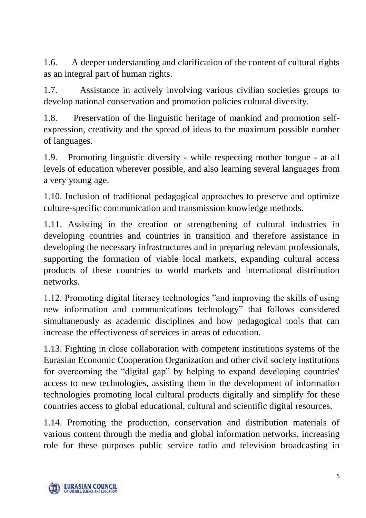1.6. A deeper understanding and clarification of the content of cultural rights as an integral part of human rights.

1.7. Assistance in actively involving various civilian societies groups to develop national conservation and promotion policies cultural diversity.

1.8. Preservation of the linguistic heritage of mankind and promotion selfexpression, creativity and the spread of ideas to the maximum possible number of languages.

1.9. Promoting linguistic diversity - while respecting mother tongue - at all levels of education wherever possible, and also learning several languages from a very young age.

1.10. Inclusion of traditional pedagogical approaches to preserve and optimize culture-specific communication and transmission knowledge methods.

1.11. Assisting in the creation or strengthening of cultural industries in developing countries and countries in transition and therefore assistance in developing the necessary infrastructures and in preparing relevant professionals, supporting the formation of viable local markets, expanding cultural access products of these countries to world markets and international distribution networks.

1.12. Promoting digital literacy technologies "and improving the skills of using new information and communications technology" that follows considered simultaneously as academic disciplines and how pedagogical tools that can increase the effectiveness of services in areas of education.

1.13. Fighting in close collaboration with competent institutions systems of the Eurasian Economic Cooperation Organization and other civil society institutions for overcoming the "digital gap" by helping to expand developing countries' access to new technologies, assisting them in the development of information technologies promoting local cultural products digitally and simplify for these countries access to global educational, cultural and scientific digital resources.

1.14. Promoting the production, conservation and distribution materials of various content through the media and global information networks, increasing role for these purposes public service radio and television broadcasting in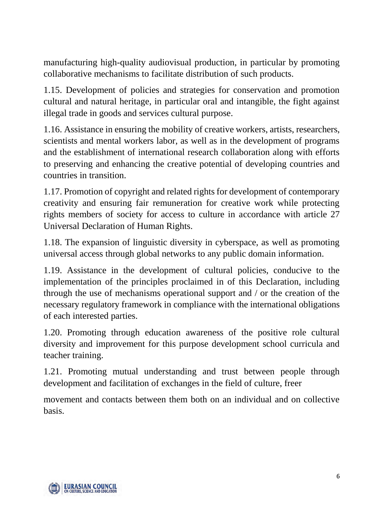manufacturing high-quality audiovisual production, in particular by promoting collaborative mechanisms to facilitate distribution of such products.

1.15. Development of policies and strategies for conservation and promotion cultural and natural heritage, in particular oral and intangible, the fight against illegal trade in goods and services cultural purpose.

1.16. Assistance in ensuring the mobility of creative workers, artists, researchers, scientists and mental workers labor, as well as in the development of programs and the establishment of international research collaboration along with efforts to preserving and enhancing the creative potential of developing countries and countries in transition.

1.17. Promotion of copyright and related rights for development of contemporary creativity and ensuring fair remuneration for creative work while protecting rights members of society for access to culture in accordance with article 27 Universal Declaration of Human Rights.

1.18. The expansion of linguistic diversity in cyberspace, as well as promoting universal access through global networks to any public domain information.

1.19. Assistance in the development of cultural policies, conducive to the implementation of the principles proclaimed in of this Declaration, including through the use of mechanisms operational support and / or the creation of the necessary regulatory framework in compliance with the international obligations of each interested parties.

1.20. Promoting through education awareness of the positive role cultural diversity and improvement for this purpose development school curricula and teacher training.

1.21. Promoting mutual understanding and trust between people through development and facilitation of exchanges in the field of culture, freer

movement and contacts between them both on an individual and on collective basis.

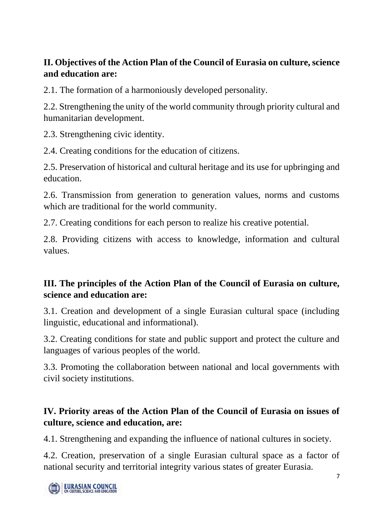#### **II. Objectives of the Action Plan of the Council of Eurasia on culture, science and education are:**

2.1. The formation of a harmoniously developed personality.

2.2. Strengthening the unity of the world community through priority cultural and humanitarian development.

2.3. Strengthening civic identity.

2.4. Creating conditions for the education of citizens.

2.5. Preservation of historical and cultural heritage and its use for upbringing and education.

2.6. Transmission from generation to generation values, norms and customs which are traditional for the world community.

2.7. Creating conditions for each person to realize his creative potential.

2.8. Providing citizens with access to knowledge, information and cultural values.

#### **III. The principles of the Action Plan of the Council of Eurasia on culture, science and education are:**

3.1. Creation and development of a single Eurasian cultural space (including linguistic, educational and informational).

3.2. Creating conditions for state and public support and protect the culture and languages of various peoples of the world.

3.3. Promoting the collaboration between national and local governments with civil society institutions.

#### **IV. Priority areas of the Action Plan of the Council of Eurasia on issues of culture, science and education, are:**

4.1. Strengthening and expanding the influence of national cultures in society.

4.2. Creation, preservation of a single Eurasian cultural space as a factor of national security and territorial integrity various states of greater Eurasia.

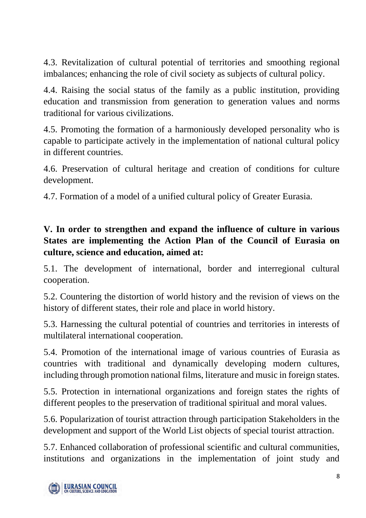4.3. Revitalization of cultural potential of territories and smoothing regional imbalances; enhancing the role of civil society as subjects of cultural policy.

4.4. Raising the social status of the family as a public institution, providing education and transmission from generation to generation values and norms traditional for various civilizations.

4.5. Promoting the formation of a harmoniously developed personality who is capable to participate actively in the implementation of national cultural policy in different countries.

4.6. Preservation of cultural heritage and creation of conditions for culture development.

4.7. Formation of a model of a unified cultural policy of Greater Eurasia.

#### **V. In order to strengthen and expand the influence of culture in various States are implementing the Action Plan of the Council of Eurasia on culture, science and education, aimed at:**

5.1. The development of international, border and interregional cultural cooperation.

5.2. Countering the distortion of world history and the revision of views on the history of different states, their role and place in world history.

5.3. Harnessing the cultural potential of countries and territories in interests of multilateral international cooperation.

5.4. Promotion of the international image of various countries of Eurasia as countries with traditional and dynamically developing modern cultures, including through promotion national films, literature and music in foreign states.

5.5. Protection in international organizations and foreign states the rights of different peoples to the preservation of traditional spiritual and moral values.

5.6. Popularization of tourist attraction through participation Stakeholders in the development and support of the World List objects of special tourist attraction.

5.7. Enhanced collaboration of professional scientific and cultural communities, institutions and organizations in the implementation of joint study and

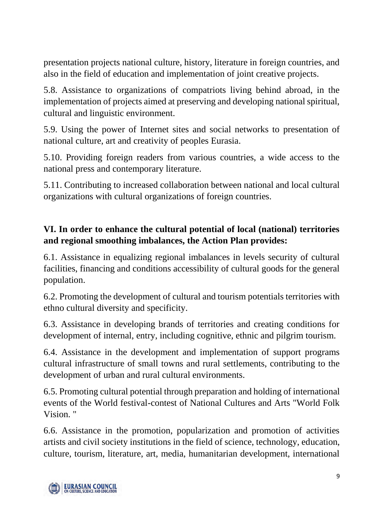presentation projects national culture, history, literature in foreign countries, and also in the field of education and implementation of joint creative projects.

5.8. Assistance to organizations of compatriots living behind abroad, in the implementation of projects aimed at preserving and developing national spiritual, cultural and linguistic environment.

5.9. Using the power of Internet sites and social networks to presentation of national culture, art and creativity of peoples Eurasia.

5.10. Providing foreign readers from various countries, a wide access to the national press and contemporary literature.

5.11. Contributing to increased collaboration between national and local cultural organizations with cultural organizations of foreign countries.

#### **VI. In order to enhance the cultural potential of local (national) territories and regional smoothing imbalances, the Action Plan provides:**

6.1. Assistance in equalizing regional imbalances in levels security of cultural facilities, financing and conditions accessibility of cultural goods for the general population.

6.2. Promoting the development of cultural and tourism potentials territories with ethno cultural diversity and specificity.

6.3. Assistance in developing brands of territories and creating conditions for development of internal, entry, including cognitive, ethnic and pilgrim tourism.

6.4. Assistance in the development and implementation of support programs cultural infrastructure of small towns and rural settlements, contributing to the development of urban and rural cultural environments.

6.5. Promoting cultural potential through preparation and holding of international events of the World festival-contest of National Cultures and Arts "World Folk Vision. "

6.6. Assistance in the promotion, popularization and promotion of activities artists and civil society institutions in the field of science, technology, education, culture, tourism, literature, art, media, humanitarian development, international

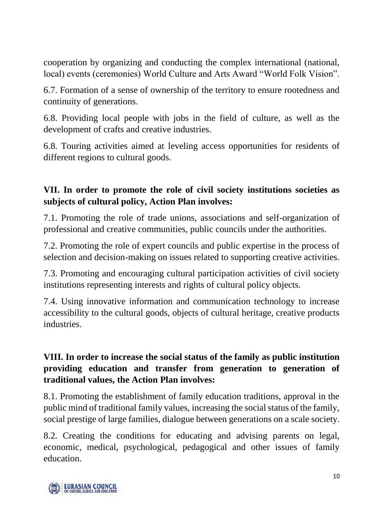cooperation by organizing and conducting the complex international (national, local) events (ceremonies) World Culture and Arts Award "World Folk Vision".

6.7. Formation of a sense of ownership of the territory to ensure rootedness and continuity of generations.

6.8. Providing local people with jobs in the field of culture, as well as the development of crafts and creative industries.

6.8. Touring activities aimed at leveling access opportunities for residents of different regions to cultural goods.

#### **VII. In order to promote the role of civil society institutions societies as subjects of cultural policy, Action Plan involves:**

7.1. Promoting the role of trade unions, associations and self-organization of professional and creative communities, public councils under the authorities.

7.2. Promoting the role of expert councils and public expertise in the process of selection and decision-making on issues related to supporting creative activities.

7.3. Promoting and encouraging cultural participation activities of civil society institutions representing interests and rights of cultural policy objects.

7.4. Using innovative information and communication technology to increase accessibility to the cultural goods, objects of cultural heritage, creative products industries.

#### **VIII. In order to increase the social status of the family as public institution providing education and transfer from generation to generation of traditional values, the Action Plan involves:**

8.1. Promoting the establishment of family education traditions, approval in the public mind of traditional family values, increasing the social status of the family, social prestige of large families, dialogue between generations on a scale society.

8.2. Creating the conditions for educating and advising parents on legal, economic, medical, psychological, pedagogical and other issues of family education.

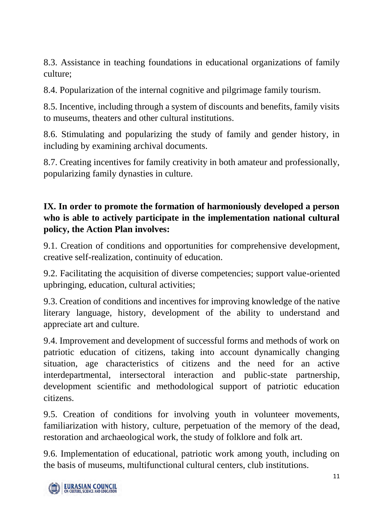8.3. Assistance in teaching foundations in educational organizations of family culture;

8.4. Popularization of the internal cognitive and pilgrimage family tourism.

8.5. Incentive, including through a system of discounts and benefits, family visits to museums, theaters and other cultural institutions.

8.6. Stimulating and popularizing the study of family and gender history, in including by examining archival documents.

8.7. Creating incentives for family creativity in both amateur and professionally, popularizing family dynasties in culture.

#### **IX. In order to promote the formation of harmoniously developed a person who is able to actively participate in the implementation national cultural policy, the Action Plan involves:**

9.1. Creation of conditions and opportunities for comprehensive development, creative self-realization, continuity of education.

9.2. Facilitating the acquisition of diverse competencies; support value-oriented upbringing, education, cultural activities;

9.3. Creation of conditions and incentives for improving knowledge of the native literary language, history, development of the ability to understand and appreciate art and culture.

9.4. Improvement and development of successful forms and methods of work on patriotic education of citizens, taking into account dynamically changing situation, age characteristics of citizens and the need for an active interdepartmental, intersectoral interaction and public-state partnership, development scientific and methodological support of patriotic education citizens.

9.5. Creation of conditions for involving youth in volunteer movements, familiarization with history, culture, perpetuation of the memory of the dead, restoration and archaeological work, the study of folklore and folk art.

9.6. Implementation of educational, patriotic work among youth, including on the basis of museums, multifunctional cultural centers, club institutions.

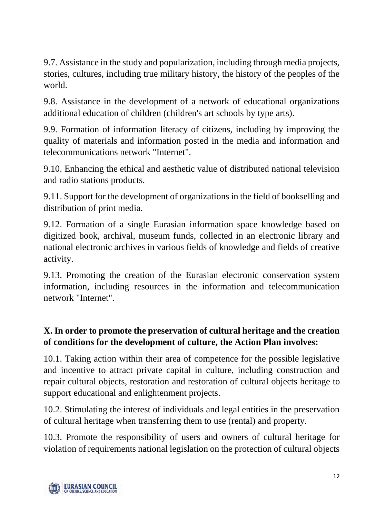9.7. Assistance in the study and popularization, including through media projects, stories, cultures, including true military history, the history of the peoples of the world.

9.8. Assistance in the development of a network of educational organizations additional education of children (children's art schools by type arts).

9.9. Formation of information literacy of citizens, including by improving the quality of materials and information posted in the media and information and telecommunications network "Internet".

9.10. Enhancing the ethical and aesthetic value of distributed national television and radio stations products.

9.11. Support for the development of organizations in the field of bookselling and distribution of print media.

9.12. Formation of a single Eurasian information space knowledge based on digitized book, archival, museum funds, collected in an electronic library and national electronic archives in various fields of knowledge and fields of creative activity.

9.13. Promoting the creation of the Eurasian electronic conservation system information, including resources in the information and telecommunication network "Internet".

#### **X. In order to promote the preservation of cultural heritage and the creation of conditions for the development of culture, the Action Plan involves:**

10.1. Taking action within their area of competence for the possible legislative and incentive to attract private capital in culture, including construction and repair cultural objects, restoration and restoration of cultural objects heritage to support educational and enlightenment projects.

10.2. Stimulating the interest of individuals and legal entities in the preservation of cultural heritage when transferring them to use (rental) and property.

10.3. Promote the responsibility of users and owners of cultural heritage for violation of requirements national legislation on the protection of cultural objects

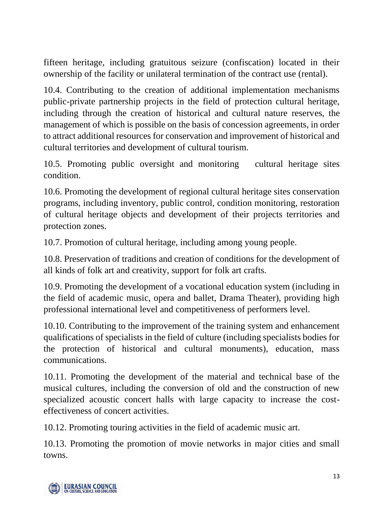fifteen heritage, including gratuitous seizure (confiscation) located in their ownership of the facility or unilateral termination of the contract use (rental).

10.4. Contributing to the creation of additional implementation mechanisms public-private partnership projects in the field of protection cultural heritage, including through the creation of historical and cultural nature reserves, the management of which is possible on the basis of concession agreements, in order to attract additional resources for conservation and improvement of historical and cultural territories and development of cultural tourism.

10.5. Promoting public oversight and monitoring cultural heritage sites condition.

10.6. Promoting the development of regional cultural heritage sites conservation programs, including inventory, public control, condition monitoring, restoration of cultural heritage objects and development of their projects territories and protection zones.

10.7. Promotion of cultural heritage, including among young people.

10.8. Preservation of traditions and creation of conditions for the development of all kinds of folk art and creativity, support for folk art crafts.

10.9. Promoting the development of a vocational education system (including in the field of academic music, opera and ballet, Drama Theater), providing high professional international level and competitiveness of performers level.

10.10. Contributing to the improvement of the training system and enhancement qualifications of specialists in the field of culture (including specialists bodies for the protection of historical and cultural monuments), education, mass communications.

10.11. Promoting the development of the material and technical base of the musical cultures, including the conversion of old and the construction of new specialized acoustic concert halls with large capacity to increase the costeffectiveness of concert activities.

10.12. Promoting touring activities in the field of academic music art.

10.13. Promoting the promotion of movie networks in major cities and small towns.